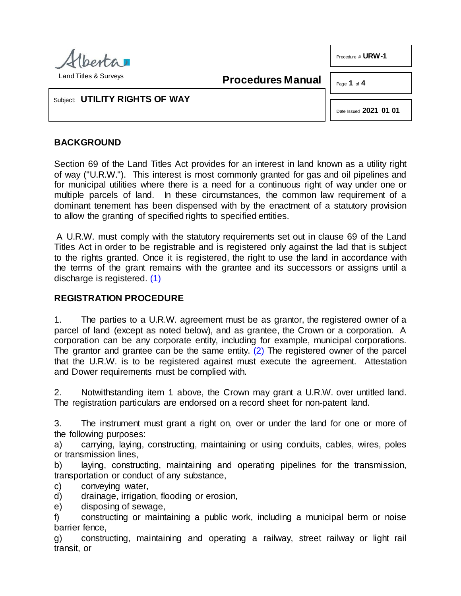

**Procedures Manual**

Page **1** of **4** 

Procedure # **URW-1**

Subject: **UTILITY RIGHTS OF WAY**

Date Issued **2021 01 01**

## **BACKGROUND**

Section 69 of the Land Titles Act provides for an interest in land known as a utility right of way ("U.R.W."). This interest is most commonly granted for gas and oil pipelines and for municipal utilities where there is a need for a continuous right of way under one or multiple parcels of land. In these circumstances, the common law requirement of a dominant tenement has been dispensed with by the enactment of a statutory provision to allow the granting of specified rights to specified entities.

A U.R.W. must comply with the statutory requirements set out in clause 69 of the Land Titles Act in order to be registrable and is registered only against the lad that is subject to the rights granted. Once it is registered, the right to use the land in accordance with the terms of the grant remains with the grantee and its successors or assigns until a discharge is registered. [\(1\)](#page-3-0)

# <span id="page-0-0"></span>**REGISTRATION PROCEDURE**

<span id="page-0-1"></span>1. The parties to a U.R.W. agreement must be as grantor, the registered owner of a parcel of land (except as noted below), and as grantee, the Crown or a corporation. A corporation can be any corporate entity, including for example, municipal corporations. The grantor and grantee can be the same entity. [\(2\)](#page-3-1) The registered owner of the parcel that the U.R.W. is to be registered against must execute the agreement. Attestation and Dower requirements must be complied with.

2. Notwithstanding item 1 above, the Crown may grant a U.R.W. over untitled land. The registration particulars are endorsed on a record sheet for non-patent land.

3. The instrument must grant a right on, over or under the land for one or more of the following purposes:

a) carrying, laying, constructing, maintaining or using conduits, cables, wires, poles or transmission lines,

b) laying, constructing, maintaining and operating pipelines for the transmission, transportation or conduct of any substance,

c) conveying water,

- d) drainage, irrigation, flooding or erosion,
- e) disposing of sewage,

f) constructing or maintaining a public work, including a municipal berm or noise barrier fence,

g) constructing, maintaining and operating a railway, street railway or light rail transit, or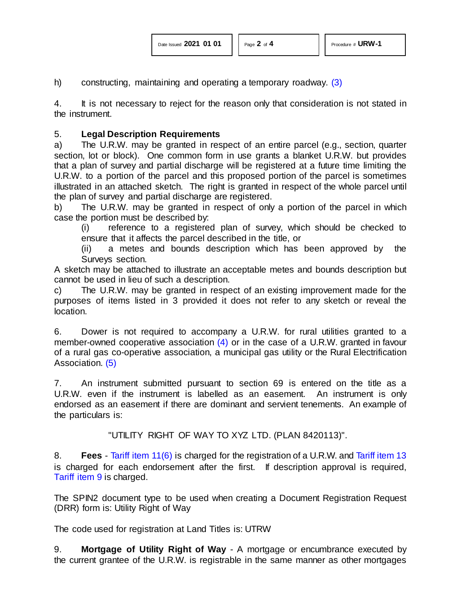<span id="page-1-0"></span>h) constructing, maintaining and operating a temporary roadway. [\(3\)](#page-3-2)

4. It is not necessary to reject for the reason only that consideration is not stated in the instrument.

#### 5. **Legal Description Requirements**

a) The U.R.W. may be granted in respect of an entire parcel (e.g., section, quarter section, lot or block). One common form in use grants a blanket U.R.W. but provides that a plan of survey and partial discharge will be registered at a future time limiting the U.R.W. to a portion of the parcel and this proposed portion of the parcel is sometimes illustrated in an attached sketch. The right is granted in respect of the whole parcel until the plan of survey and partial discharge are registered.

b) The U.R.W. may be granted in respect of only a portion of the parcel in which case the portion must be described by:

(i) reference to a registered plan of survey, which should be checked to ensure that it affects the parcel described in the title, or

(ii) a metes and bounds description which has been approved by the Surveys section.

A sketch may be attached to illustrate an acceptable metes and bounds description but cannot be used in lieu of such a description.

c) The U.R.W. may be granted in respect of an existing improvement made for the purposes of items listed in 3 provided it does not refer to any sketch or reveal the location.

<span id="page-1-1"></span>6. Dower is not required to accompany a U.R.W. for rural utilities granted to a member-owned cooperative association [\(4\)](#page-3-3) or in the case of a U.R.W. granted in favour of a rural gas co-operative association, a municipal gas utility or the Rural Electrification Association. [\(5\)](#page-3-4)

<span id="page-1-2"></span>7. An instrument submitted pursuant to section 69 is entered on the title as a U.R.W. even if the instrument is labelled as an easement. An instrument is only endorsed as an easement if there are dominant and servient tenements. An example of the particulars is:

"UTILITY RIGHT OF WAY TO XYZ LTD. (PLAN 8420113)".

8. **Fees** - [Tariff item 11\(6\)](http://www.servicealberta.ca/pdf/ltmanual/APPENDIXI.PDF) is charged for the registration of a U.R.W. and [Tariff item](http://www.servicealberta.ca/pdf/ltmanual/APPENDIXI.PDF) 13 is charged for each endorsement after the first. If description approval is required, Tariff [item 9](http://www.servicealberta.ca/pdf/ltmanual/APPENDIXI.PDF) is charged.

The SPIN2 document type to be used when creating a Document Registration Request (DRR) form is: Utility Right of Way

The code used for registration at Land Titles is: UTRW

9. **Mortgage of Utility Right of Way** - A mortgage or encumbrance executed by the current grantee of the U.R.W. is registrable in the same manner as other mortgages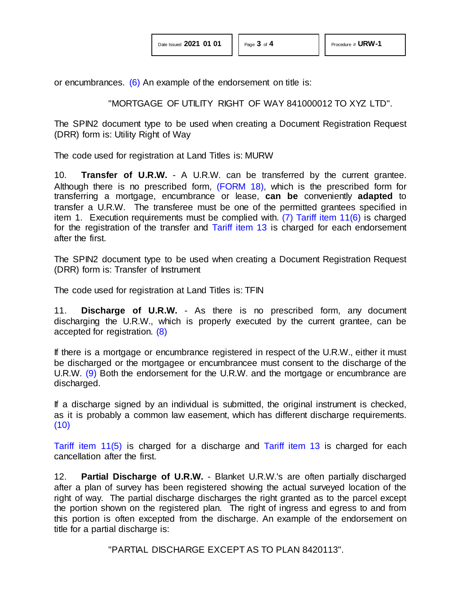or encumbrances.  $(6)$  An example of the endorsement on title is:

### <span id="page-2-1"></span><span id="page-2-0"></span>"MORTGAGE OF UTILITY RIGHT OF WAY 841000012 TO XYZ LTD".

The SPIN2 document type to be used when creating a Document Registration Request (DRR) form is: Utility Right of Way

The code used for registration at Land Titles is: MURW

10. **Transfer of U.R.W.** - A U.R.W. can be transferred by the current grantee. Although there is no prescribed form, [\(FORM 18\),](http://www.servicealberta.ca/pdf/ltmanual/FORM18.PDF) which is the prescribed form for transferring a mortgage, encumbrance or lease, **can be** conveniently **adapted** to transfer a U.R.W. The transferee must be one of the permitted grantees specified in item 1. Execution requirements must be complied with. [\(7\)](#page-3-6) [Tariff item 11\(6\)](http://www.servicealberta.ca/pdf/ltmanual/APPENDIXI.PDF) is charged for the registration of the transfer and [Tariff item 13](http://www.servicealberta.ca/pdf/ltmanual/APPENDIXI.PDF) is charged for each endorsement after the first.

The SPIN2 document type to be used when creating a Document Registration Request (DRR) form is: Transfer of Instrument

The code used for registration at Land Titles is: TFIN

<span id="page-2-2"></span>11. **Discharge of U.R.W.** - As there is no prescribed form, any document discharging the U.R.W., which is properly executed by the current grantee, can be accepted for registration. [\(8\)](#page-3-7)

<span id="page-2-3"></span>If there is a mortgage or encumbrance registered in respect of the U.R.W., either it must be discharged or the mortgagee or encumbrancee must consent to the discharge of the U.R.W. [\(9\)](#page-3-8) Both the endorsement for the U.R.W. and the mortgage or encumbrance are discharged.

If a discharge signed by an individual is submitted, the original instrument is checked, as it is probably a common law easement, which has different discharge requirements. [\(10\)](#page-3-9)

[Tariff item 11\(5\)](http://www.servicealberta.ca/pdf/ltmanual/APPENDIXI.PDF) is charged for a discharge and [Tariff item 13](http://www.servicealberta.ca/pdf/ltmanual/APPENDIXI.PDF) is charged for each cancellation after the first.

12. **Partial Discharge of U.R.W.** - Blanket U.R.W.'s are often partially discharged after a plan of survey has been registered showing the actual surveyed location of the right of way. The partial discharge discharges the right granted as to the parcel except the portion shown on the registered plan. The right of ingress and egress to and from this portion is often excepted from the discharge. An example of the endorsement on title for a partial discharge is:

"PARTIAL DISCHARGE EXCEPT AS TO PLAN 8420113".